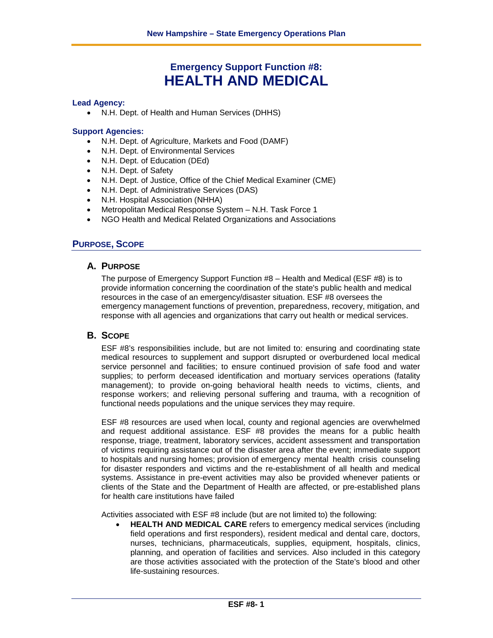# **Emergency Support Function #8: HEALTH AND MEDICAL**

#### **Lead Agency:**

• N.H. Dept. of Health and Human Services (DHHS)

#### **Support Agencies:**

- N.H. Dept. of Agriculture, Markets and Food (DAMF)
- N.H. Dept. of Environmental Services
- N.H. Dept. of Education (DEd)
- N.H. Dept. of Safety
- N.H. Dept. of Justice, Office of the Chief Medical Examiner (CME)
- N.H. Dept. of Administrative Services (DAS)
- N.H. Hospital Association (NHHA)
- Metropolitan Medical Response System N.H. Task Force 1
- NGO Health and Medical Related Organizations and Associations

# **PURPOSE, SCOPE**

#### **A. PURPOSE**

The purpose of Emergency Support Function #8 – Health and Medical (ESF #8) is to provide information concerning the coordination of the state's public health and medical resources in the case of an emergency/disaster situation. ESF #8 oversees the emergency management functions of prevention, preparedness, recovery, mitigation, and response with all agencies and organizations that carry out health or medical services.

# **B. SCOPE**

ESF #8's responsibilities include, but are not limited to: ensuring and coordinating state medical resources to supplement and support disrupted or overburdened local medical service personnel and facilities; to ensure continued provision of safe food and water supplies; to perform deceased identification and mortuary services operations (fatality management); to provide on-going behavioral health needs to victims, clients, and response workers; and relieving personal suffering and trauma, with a recognition of functional needs populations and the unique services they may require.

ESF #8 resources are used when local, county and regional agencies are overwhelmed and request additional assistance. ESF #8 provides the means for a public health response, triage, treatment, laboratory services, accident assessment and transportation of victims requiring assistance out of the disaster area after the event; immediate support to hospitals and nursing homes; provision of emergency mental health crisis counseling for disaster responders and victims and the re-establishment of all health and medical systems. Assistance in pre-event activities may also be provided whenever patients or clients of the State and the Department of Health are affected, or pre-established plans for health care institutions have failed

Activities associated with ESF #8 include (but are not limited to) the following:

• **HEALTH AND MEDICAL CARE** refers to emergency medical services (including field operations and first responders), resident medical and dental care, doctors, nurses, technicians, pharmaceuticals, supplies, equipment, hospitals, clinics, planning, and operation of facilities and services. Also included in this category are those activities associated with the protection of the State's blood and other life-sustaining resources.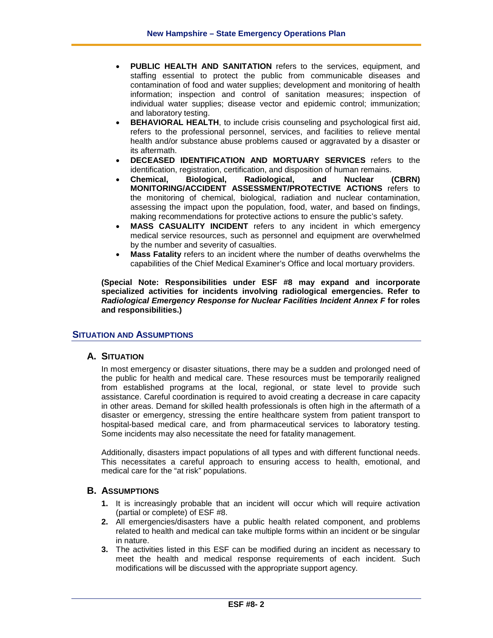- **PUBLIC HEALTH AND SANITATION** refers to the services, equipment, and staffing essential to protect the public from communicable diseases and contamination of food and water supplies; development and monitoring of health information; inspection and control of sanitation measures; inspection of individual water supplies; disease vector and epidemic control; immunization; and laboratory testing.
- **BEHAVIORAL HEALTH**, to include crisis counseling and psychological first aid, refers to the professional personnel, services, and facilities to relieve mental health and/or substance abuse problems caused or aggravated by a disaster or its aftermath.
- **DECEASED IDENTIFICATION AND MORTUARY SERVICES** refers to the identification, registration, certification, and disposition of human remains.
- **Chemical, Biological, Radiological, and Nuclear (CBRN) MONITORING/ACCIDENT ASSESSMENT/PROTECTIVE ACTIONS** refers to the monitoring of chemical, biological, radiation and nuclear contamination, assessing the impact upon the population, food, water, and based on findings, making recommendations for protective actions to ensure the public's safety.
- **MASS CASUALITY INCIDENT** refers to any incident in which emergency medical service resources, such as personnel and equipment are overwhelmed by the number and severity of casualties.
- **Mass Fatality** refers to an incident where the number of deaths overwhelms the capabilities of the Chief Medical Examiner's Office and local mortuary providers.

**(Special Note: Responsibilities under ESF #8 may expand and incorporate specialized activities for incidents involving radiological emergencies. Refer to**  *Radiological Emergency Response for Nuclear Facilities Incident Annex F* **for roles and responsibilities.)**

# **SITUATION AND ASSUMPTIONS**

# **A. SITUATION**

In most emergency or disaster situations, there may be a sudden and prolonged need of the public for health and medical care. These resources must be temporarily realigned from established programs at the local, regional, or state level to provide such assistance. Careful coordination is required to avoid creating a decrease in care capacity in other areas. Demand for skilled health professionals is often high in the aftermath of a disaster or emergency, stressing the entire healthcare system from patient transport to hospital-based medical care, and from pharmaceutical services to laboratory testing. Some incidents may also necessitate the need for fatality management.

Additionally, disasters impact populations of all types and with different functional needs. This necessitates a careful approach to ensuring access to health, emotional, and medical care for the "at risk" populations.

#### **B. ASSUMPTIONS**

- **1.** It is increasingly probable that an incident will occur which will require activation (partial or complete) of ESF #8.
- **2.** All emergencies/disasters have a public health related component, and problems related to health and medical can take multiple forms within an incident or be singular in nature.
- **3.** The activities listed in this ESF can be modified during an incident as necessary to meet the health and medical response requirements of each incident. Such modifications will be discussed with the appropriate support agency.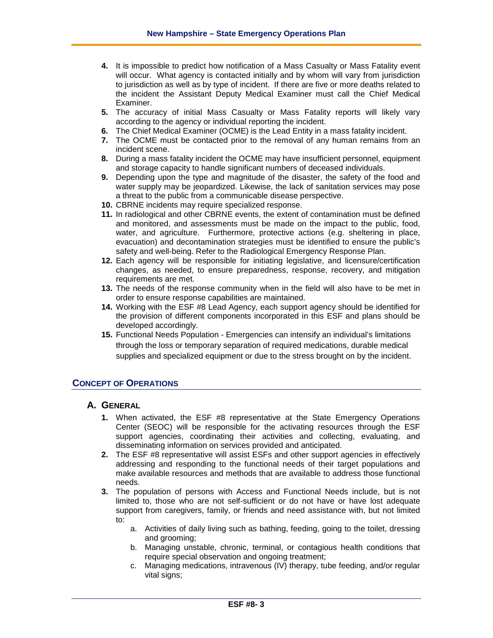- **4.** It is impossible to predict how notification of a Mass Casualty or Mass Fatality event will occur. What agency is contacted initially and by whom will vary from jurisdiction to jurisdiction as well as by type of incident. If there are five or more deaths related to the incident the Assistant Deputy Medical Examiner must call the Chief Medical Examiner.
- **5.** The accuracy of initial Mass Casualty or Mass Fatality reports will likely vary according to the agency or individual reporting the incident.
- **6.** The Chief Medical Examiner (OCME) is the Lead Entity in a mass fatality incident.
- **7.** The OCME must be contacted prior to the removal of any human remains from an incident scene.
- **8.** During a mass fatality incident the OCME may have insufficient personnel, equipment and storage capacity to handle significant numbers of deceased individuals.
- **9.** Depending upon the type and magnitude of the disaster, the safety of the food and water supply may be jeopardized. Likewise, the lack of sanitation services may pose a threat to the public from a communicable disease perspective.
- **10.** CBRNE incidents may require specialized response.
- **11.** In radiological and other CBRNE events, the extent of contamination must be defined and monitored, and assessments must be made on the impact to the public, food, water, and agriculture. Furthermore, protective actions (e.g. sheltering in place, evacuation) and decontamination strategies must be identified to ensure the public's safety and well-being. Refer to the Radiological Emergency Response Plan.
- **12.** Each agency will be responsible for initiating legislative, and licensure/certification changes, as needed, to ensure preparedness, response, recovery, and mitigation requirements are met.
- **13.** The needs of the response community when in the field will also have to be met in order to ensure response capabilities are maintained.
- **14.** Working with the ESF #8 Lead Agency, each support agency should be identified for the provision of different components incorporated in this ESF and plans should be developed accordingly.
- **15.** Functional Needs Population Emergencies can intensify an individual's limitations through the loss or temporary separation of required medications, durable medical supplies and specialized equipment or due to the stress brought on by the incident.

# **CONCEPT OF OPERATIONS**

# **A. GENERAL**

- **1.** When activated, the ESF #8 representative at the State Emergency Operations Center (SEOC) will be responsible for the activating resources through the ESF support agencies, coordinating their activities and collecting, evaluating, and disseminating information on services provided and anticipated.
- **2.** The ESF #8 representative will assist ESFs and other support agencies in effectively addressing and responding to the functional needs of their target populations and make available resources and methods that are available to address those functional needs.
- **3.** The population of persons with Access and Functional Needs include, but is not limited to, those who are not self-sufficient or do not have or have lost adequate support from caregivers, family, or friends and need assistance with, but not limited to:
	- a. Activities of daily living such as bathing, feeding, going to the toilet, dressing and grooming;
	- b. Managing unstable, chronic, terminal, or contagious health conditions that require special observation and ongoing treatment;
	- c. Managing medications, intravenous (IV) therapy, tube feeding, and/or regular vital signs;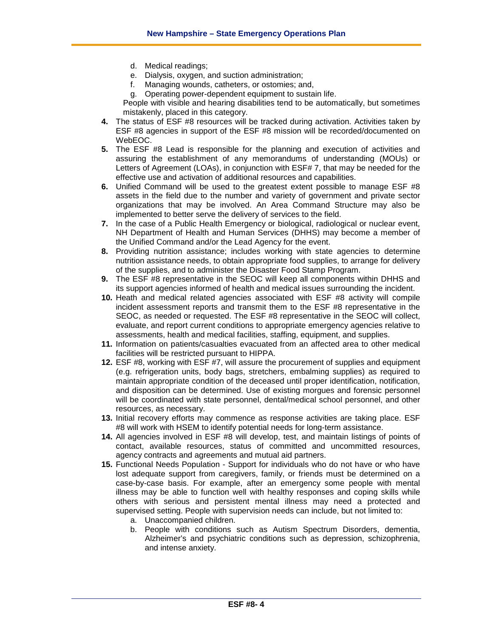- d. Medical readings;
- e. Dialysis, oxygen, and suction administration;
- f. Managing wounds, catheters, or ostomies; and,
- g. Operating power-dependent equipment to sustain life.

People with visible and hearing disabilities tend to be automatically, but sometimes mistakenly, placed in this category.

- **4.** The status of ESF #8 resources will be tracked during activation. Activities taken by ESF #8 agencies in support of the ESF #8 mission will be recorded/documented on WebEOC.
- **5.** The ESF #8 Lead is responsible for the planning and execution of activities and assuring the establishment of any memorandums of understanding (MOUs) or Letters of Agreement (LOAs), in conjunction with ESF# 7, that may be needed for the effective use and activation of additional resources and capabilities.
- **6.** Unified Command will be used to the greatest extent possible to manage ESF #8 assets in the field due to the number and variety of government and private sector organizations that may be involved. An Area Command Structure may also be implemented to better serve the delivery of services to the field.
- **7.** In the case of a Public Health Emergency or biological, radiological or nuclear event, NH Department of Health and Human Services (DHHS) may become a member of the Unified Command and/or the Lead Agency for the event.
- **8.** Providing nutrition assistance; includes working with state agencies to determine nutrition assistance needs, to obtain appropriate food supplies, to arrange for delivery of the supplies, and to administer the Disaster Food Stamp Program.
- **9.** The ESF #8 representative in the SEOC will keep all components within DHHS and its support agencies informed of health and medical issues surrounding the incident.
- **10.** Heath and medical related agencies associated with ESF #8 activity will compile incident assessment reports and transmit them to the ESF #8 representative in the SEOC, as needed or requested. The ESF #8 representative in the SEOC will collect, evaluate, and report current conditions to appropriate emergency agencies relative to assessments, health and medical facilities, staffing, equipment, and supplies.
- **11.** Information on patients/casualties evacuated from an affected area to other medical facilities will be restricted pursuant to HIPPA.
- **12.** ESF #8, working with ESF #7, will assure the procurement of supplies and equipment (e.g. refrigeration units, body bags, stretchers, embalming supplies) as required to maintain appropriate condition of the deceased until proper identification, notification, and disposition can be determined. Use of existing morgues and forensic personnel will be coordinated with state personnel, dental/medical school personnel, and other resources, as necessary.
- **13.** Initial recovery efforts may commence as response activities are taking place. ESF #8 will work with HSEM to identify potential needs for long-term assistance.
- **14.** All agencies involved in ESF #8 will develop, test, and maintain listings of points of contact, available resources, status of committed and uncommitted resources, agency contracts and agreements and mutual aid partners.
- **15.** Functional Needs Population Support for individuals who do not have or who have lost adequate support from caregivers, family, or friends must be determined on a case-by-case basis. For example, after an emergency some people with mental illness may be able to function well with healthy responses and coping skills while others with serious and persistent mental illness may need a protected and supervised setting. People with supervision needs can include, but not limited to:
	- a. Unaccompanied children.
	- b. People with conditions such as Autism Spectrum Disorders, dementia, Alzheimer's and psychiatric conditions such as depression, schizophrenia, and intense anxiety.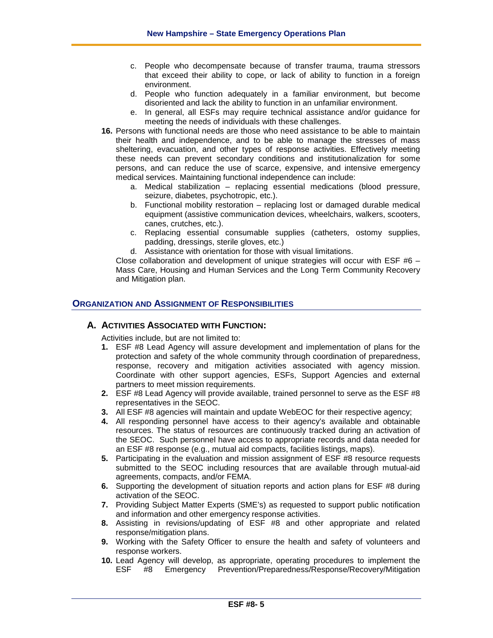- c. People who decompensate because of transfer trauma, trauma stressors that exceed their ability to cope, or lack of ability to function in a foreign environment.
- d. People who function adequately in a familiar environment, but become disoriented and lack the ability to function in an unfamiliar environment.
- e. In general, all ESFs may require technical assistance and/or guidance for meeting the needs of individuals with these challenges.
- **16.** Persons with functional needs are those who need assistance to be able to maintain their health and independence, and to be able to manage the stresses of mass sheltering, evacuation, and other types of response activities. Effectively meeting these needs can prevent secondary conditions and institutionalization for some persons, and can reduce the use of scarce, expensive, and intensive emergency medical services. Maintaining functional independence can include:
	- a. Medical stabilization replacing essential medications (blood pressure, seizure, diabetes, psychotropic, etc.).
	- b. Functional mobility restoration replacing lost or damaged durable medical equipment (assistive communication devices, wheelchairs, walkers, scooters, canes, crutches, etc.).
	- c. Replacing essential consumable supplies (catheters, ostomy supplies, padding, dressings, sterile gloves, etc.)
	- d. Assistance with orientation for those with visual limitations.

Close collaboration and development of unique strategies will occur with ESF  $#6 -$ Mass Care, Housing and Human Services and the Long Term Community Recovery and Mitigation plan.

#### **ORGANIZATION AND ASSIGNMENT OF RESPONSIBILITIES**

# **A. ACTIVITIES ASSOCIATED WITH FUNCTION:**

Activities include, but are not limited to:

- **1.** ESF #8 Lead Agency will assure development and implementation of plans for the protection and safety of the whole community through coordination of preparedness, response, recovery and mitigation activities associated with agency mission. Coordinate with other support agencies, ESFs, Support Agencies and external partners to meet mission requirements.
- **2.** ESF #8 Lead Agency will provide available, trained personnel to serve as the ESF #8 representatives in the SEOC.
- **3.** All ESF #8 agencies will maintain and update WebEOC for their respective agency;
- **4.** All responding personnel have access to their agency's available and obtainable resources. The status of resources are continuously tracked during an activation of the SEOC. Such personnel have access to appropriate records and data needed for an ESF #8 response (e.g., mutual aid compacts, facilities listings, maps).
- **5.** Participating in the evaluation and mission assignment of ESF #8 resource requests submitted to the SEOC including resources that are available through mutual-aid agreements, compacts, and/or FEMA.
- **6.** Supporting the development of situation reports and action plans for ESF #8 during activation of the SEOC.
- **7.** Providing Subject Matter Experts (SME's) as requested to support public notification and information and other emergency response activities.
- **8.** Assisting in revisions/updating of ESF #8 and other appropriate and related response/mitigation plans.
- **9.** Working with the Safety Officer to ensure the health and safety of volunteers and response workers.
- **10.** Lead Agency will develop, as appropriate, operating procedures to implement the ESF #8 Emergency Prevention/Preparedness/Response/Recovery/Mitigation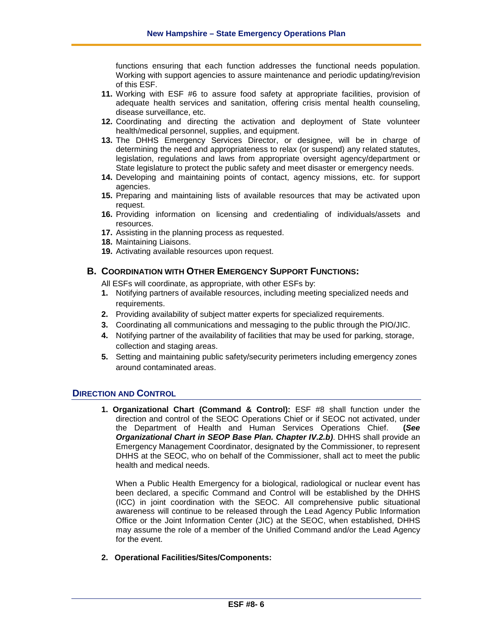functions ensuring that each function addresses the functional needs population. Working with support agencies to assure maintenance and periodic updating/revision of this ESF.

- **11.** Working with ESF #6 to assure food safety at appropriate facilities, provision of adequate health services and sanitation, offering crisis mental health counseling, disease surveillance, etc.
- **12.** Coordinating and directing the activation and deployment of State volunteer health/medical personnel, supplies, and equipment.
- **13.** The DHHS Emergency Services Director, or designee, will be in charge of determining the need and appropriateness to relax (or suspend) any related statutes, legislation, regulations and laws from appropriate oversight agency/department or State legislature to protect the public safety and meet disaster or emergency needs.
- **14.** Developing and maintaining points of contact, agency missions, etc. for support agencies.
- **15.** Preparing and maintaining lists of available resources that may be activated upon request.
- **16.** Providing information on licensing and credentialing of individuals/assets and resources.
- **17.** Assisting in the planning process as requested.
- **18.** Maintaining Liaisons.
- **19.** Activating available resources upon request.

# **B. COORDINATION WITH OTHER EMERGENCY SUPPORT FUNCTIONS:**

All ESFs will coordinate, as appropriate, with other ESFs by:

- **1.** Notifying partners of available resources, including meeting specialized needs and requirements.
- **2.** Providing availability of subject matter experts for specialized requirements.
- **3.** Coordinating all communications and messaging to the public through the PIO/JIC.
- **4.** Notifying partner of the availability of facilities that may be used for parking, storage, collection and staging areas.
- **5.** Setting and maintaining public safety/security perimeters including emergency zones around contaminated areas.

# **DIRECTION AND CONTROL**

**1. Organizational Chart (Command & Control):** ESF #8 shall function under the direction and control of the SEOC Operations Chief or if SEOC not activated, under the Department of Health and Human Services Operations Chief. **(***See Organizational Chart in SEOP Base Plan. Chapter IV.2.b)*. DHHS shall provide an Emergency Management Coordinator, designated by the Commissioner, to represent DHHS at the SEOC, who on behalf of the Commissioner, shall act to meet the public health and medical needs.

When a Public Health Emergency for a biological, radiological or nuclear event has been declared, a specific Command and Control will be established by the DHHS (ICC) in joint coordination with the SEOC. All comprehensive public situational awareness will continue to be released through the Lead Agency Public Information Office or the Joint Information Center (JIC) at the SEOC, when established, DHHS may assume the role of a member of the Unified Command and/or the Lead Agency for the event.

**2. Operational Facilities/Sites/Components:**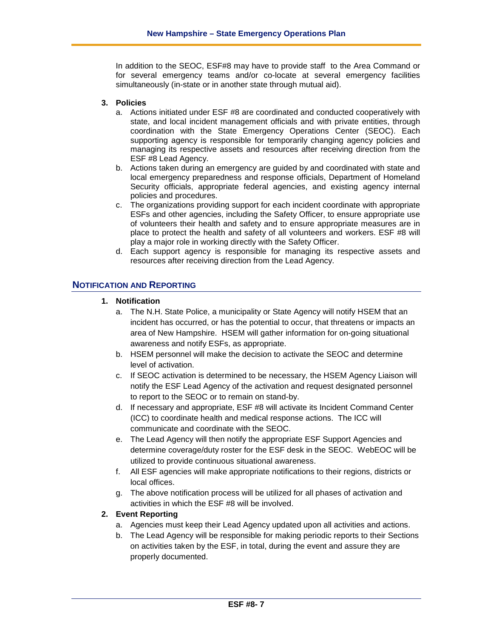In addition to the SEOC, ESF#8 may have to provide staff to the Area Command or for several emergency teams and/or co-locate at several emergency facilities simultaneously (in-state or in another state through mutual aid).

#### **3. Policies**

- a. Actions initiated under ESF #8 are coordinated and conducted cooperatively with state, and local incident management officials and with private entities, through coordination with the State Emergency Operations Center (SEOC). Each supporting agency is responsible for temporarily changing agency policies and managing its respective assets and resources after receiving direction from the ESF #8 Lead Agency.
- b. Actions taken during an emergency are guided by and coordinated with state and local emergency preparedness and response officials, Department of Homeland Security officials, appropriate federal agencies, and existing agency internal policies and procedures.
- c. The organizations providing support for each incident coordinate with appropriate ESFs and other agencies, including the Safety Officer, to ensure appropriate use of volunteers their health and safety and to ensure appropriate measures are in place to protect the health and safety of all volunteers and workers. ESF #8 will play a major role in working directly with the Safety Officer.
- d. Each support agency is responsible for managing its respective assets and resources after receiving direction from the Lead Agency.

# **NOTIFICATION AND REPORTING**

- **1. Notification**
	- a. The N.H. State Police, a municipality or State Agency will notify HSEM that an incident has occurred, or has the potential to occur, that threatens or impacts an area of New Hampshire. HSEM will gather information for on-going situational awareness and notify ESFs, as appropriate.
	- b. HSEM personnel will make the decision to activate the SEOC and determine level of activation.
	- c. If SEOC activation is determined to be necessary, the HSEM Agency Liaison will notify the ESF Lead Agency of the activation and request designated personnel to report to the SEOC or to remain on stand-by.
	- d. If necessary and appropriate, ESF #8 will activate its Incident Command Center (ICC) to coordinate health and medical response actions. The ICC will communicate and coordinate with the SEOC.
	- e. The Lead Agency will then notify the appropriate ESF Support Agencies and determine coverage/duty roster for the ESF desk in the SEOC. WebEOC will be utilized to provide continuous situational awareness.
	- f. All ESF agencies will make appropriate notifications to their regions, districts or local offices.
	- g. The above notification process will be utilized for all phases of activation and activities in which the ESF #8 will be involved.

# **2. Event Reporting**

- a. Agencies must keep their Lead Agency updated upon all activities and actions.
- b. The Lead Agency will be responsible for making periodic reports to their Sections on activities taken by the ESF, in total, during the event and assure they are properly documented.